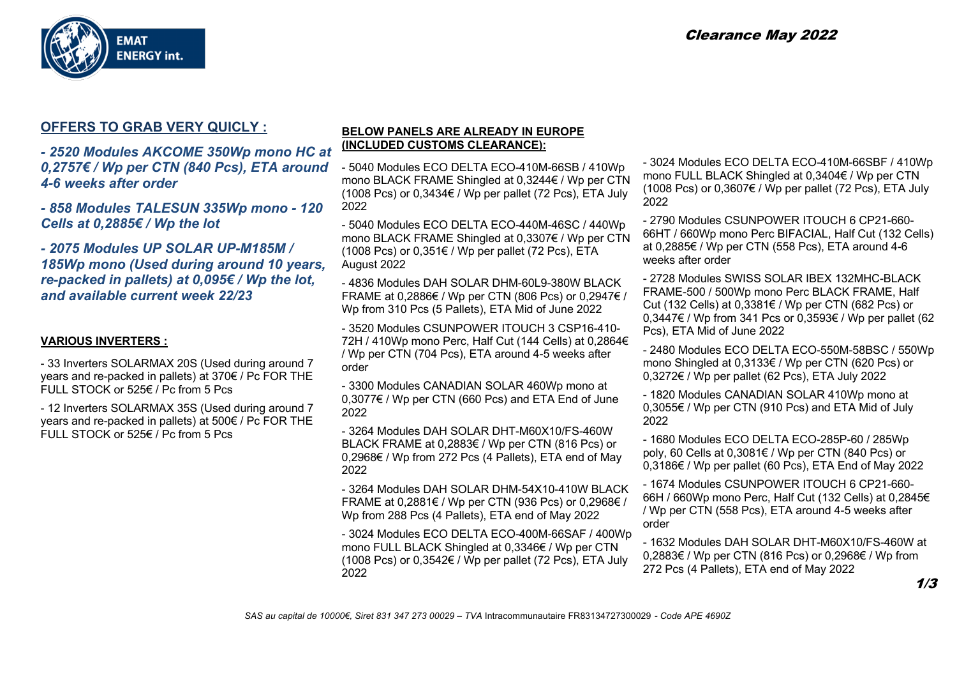

# **OFFERS TO GRAB VERY QUICLY :**

*- 2520 Modules AKCOME 350Wp mono HC at 0,2757€ / Wp per CTN (840 Pcs), ETA around 4-6 weeks after order* 

*- 858 Modules TALESUN 335Wp mono - 120 Cells at 0,2885€ / Wp the lot*

*- 2075 Modules UP SOLAR UP-M185M / 185Wp mono (Used during around 10 years, re-packed in pallets) at 0,095€ / Wp the lot, and available current week 22/23*

## **VARIOUS INVERTERS :**

- 33 Inverters SOLARMAX 20S (Used during around 7 years and re-packed in pallets) at 370€ / Pc FOR THE FULL STOCK or 525€ / Pc from 5 Pcs

- 12 Inverters SOLARMAX 35S (Used during around 7 years and re-packed in pallets) at 500€ / Pc FOR THE FULL STOCK or 525€ / Pc from 5 Pcs

#### **BELOW PANELS ARE ALREADY IN EUROPE (INCLUDED CUSTOMS CLEARANCE):**

- 5040 Modules ECO DELTA ECO-410M-66SB / 410Wp mono BLACK FRAME Shingled at 0,3244€ / Wp per CTN (1008 Pcs) or 0,3434€ / Wp per pallet (72 Pcs), ETA July 2022

- 5040 Modules ECO DELTA ECO-440M-46SC / 440Wp mono BLACK FRAME Shingled at 0,3307€ / Wp per CTN (1008 Pcs) or  $0.351€$  / Wp per pallet (72 Pcs), ETA August 2022

- 4836 Modules DAH SOLAR DHM-60L9-380W BLACK FRAME at 0,2886€ / Wp per CTN (806 Pcs) or 0,2947€ / Wp from 310 Pcs (5 Pallets), ETA Mid of June 2022

- 3520 Modules CSUNPOWER ITOUCH 3 CSP16-410- 72H / 410Wp mono Perc, Half Cut (144 Cells) at 0,2864€ / Wp per CTN (704 Pcs), ETA around 4-5 weeks after order

- 3300 Modules CANADIAN SOLAR 460Wp mono at 0,3077€ / Wp per CTN (660 Pcs) and ETA End of June 2022

- 3264 Modules DAH SOLAR DHT-M60X10/FS-460W BLACK FRAME at 0,2883€ / Wp per CTN (816 Pcs) or 0,2968€ / Wp from 272 Pcs (4 Pallets), ETA end of May 2022

- 3264 Modules DAH SOLAR DHM-54X10-410W BLACK FRAME at 0,2881€ / Wp per CTN (936 Pcs) or 0,2968€ / Wp from 288 Pcs (4 Pallets), ETA end of May 2022

- 3024 Modules ECO DELTA ECO-400M-66SAF / 400Wp mono FULL BLACK Shingled at 0,3346€ / Wp per CTN  $(1008 \text{ PCs})$  or  $0.3542 \in$  / Wp per pallet (72 Pcs), ETA July 2022

- 3024 Modules ECO DELTA ECO-410M-66SBF / 410Wp mono FULL BLACK Shingled at 0,3404€ / Wp per CTN (1008 Pcs) or  $0.3607€$  / Wp per pallet (72 Pcs), ETA July 2022

- 2790 Modules CSUNPOWER ITOUCH 6 CP21-660- 66HT / 660Wp mono Perc BIFACIAL, Half Cut (132 Cells) at 0,2885€ / Wp per CTN (558 Pcs), ETA around 4-6 weeks after order

- 2728 Modules SWISS SOLAR IBEX 132MHC-BLACK FRAME-500 / 500Wp mono Perc BLACK FRAME, Half Cut (132 Cells) at 0,3381€ / Wp per CTN (682 Pcs) or 0,3447€ / Wp from 341 Pcs or 0,3593€ / Wp per pallet (62 Pcs), ETA Mid of June 2022

- 2480 Modules ECO DELTA ECO-550M-58BSC / 550Wp mono Shingled at 0,3133€ / Wp per CTN (620 Pcs) or 0,3272€ / Wp per pallet (62 Pcs), ETA July 2022

- 1820 Modules CANADIAN SOLAR 410Wp mono at 0,3055€ / Wp per CTN (910 Pcs) and ETA Mid of July 2022

- 1680 Modules ECO DELTA ECO-285P-60 / 285Wp poly, 60 Cells at 0,3081€ / Wp per CTN (840 Pcs) or 0,3186€ / Wp per pallet (60 Pcs), ETA End of May 2022

- 1674 Modules CSUNPOWER ITOUCH 6 CP21-660- 66H / 660Wp mono Perc, Half Cut (132 Cells) at 0,2845€ / Wp per CTN (558 Pcs), ETA around 4-5 weeks after order

- 1632 Modules DAH SOLAR DHT-M60X10/FS-460W at 0,2883€ / Wp per CTN (816 Pcs) or 0,2968€ / Wp from 272 Pcs (4 Pallets), ETA end of May 2022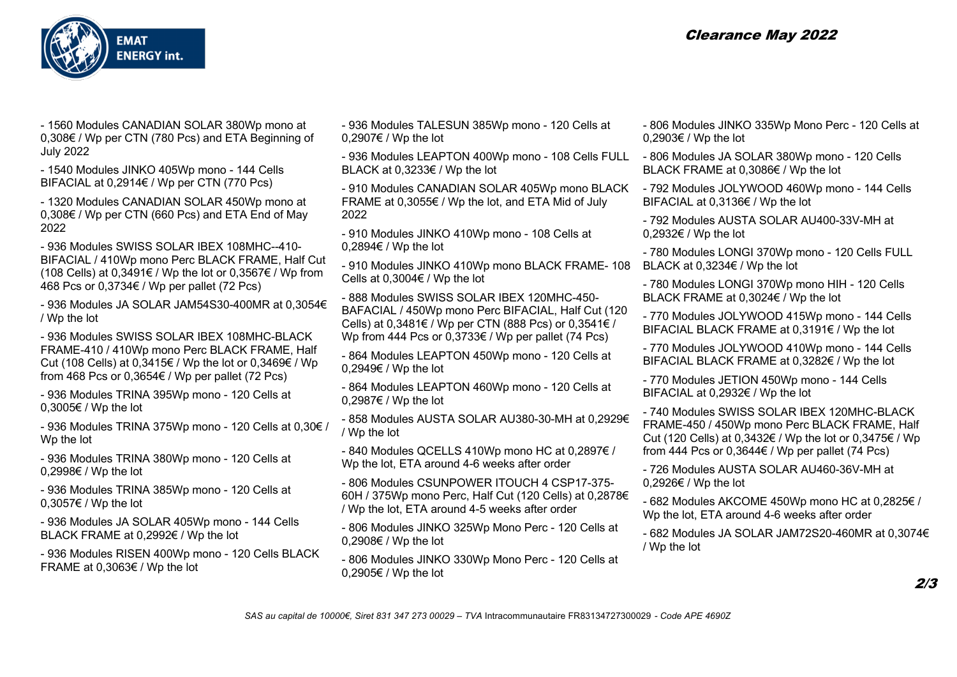

- 1560 Modules CANADIAN SOLAR 380Wp mono at 0,308€ / Wp per CTN (780 Pcs) and ETA Beginning of July 2022

- 1540 Modules JINKO 405Wp mono - 144 Cells BIFACIAL at 0,2914€ / Wp per CTN (770 Pcs)

- 1320 Modules CANADIAN SOLAR 450Wp mono at 0,308€ / Wp per CTN (660 Pcs) and ETA End of May 2022

- 936 Modules SWISS SOLAR IBEX 108MHC--410- BIFACIAL / 410Wp mono Perc BLACK FRAME, Half Cut (108 Cells) at 0,3491€ / Wp the lot or 0,3567€ / Wp from 468 Pcs or 0,3734€ / Wp per pallet (72 Pcs)

- 936 Modules JA SOLAR JAM54S30-400MR at 0,3054€ / Wp the lot

- 936 Modules SWISS SOLAR IBEX 108MHC-BLACK FRAME-410 / 410Wp mono Perc BLACK FRAME, Half Cut (108 Cells) at 0,3415€ / Wp the lot or 0,3469€ / Wp from 468 Pcs or 0,3654€ / Wp per pallet (72 Pcs)

- 936 Modules TRINA 395Wp mono - 120 Cells at 0,3005€ / Wp the lot

- 936 Modules TRINA 375Wp mono - 120 Cells at 0,30€ / Wp the lot

- 936 Modules TRINA 380Wp mono - 120 Cells at 0,2998€ / Wp the lot

- 936 Modules TRINA 385Wp mono - 120 Cells at 0,3057€ / Wp the lot

- 936 Modules JA SOLAR 405Wp mono - 144 Cells BLACK FRAME at 0,2992€ / Wp the lot

- 936 Modules RISEN 400Wp mono - 120 Cells BLACK FRAME at 0,3063€ / Wp the lot

- 936 Modules TALESUN 385Wp mono - 120 Cells at 0,2907€ / Wp the lot

- 936 Modules LEAPTON 400Wp mono - 108 Cells FULL - 806 Modules JA SOLAR 380Wp mono - 120 Cells BLACK at 0,3233€ / Wp the lot

- 910 Modules CANADIAN SOLAR 405Wp mono BLACK - 792 Modules JOLYWOOD 460Wp mono - 144 Cells FRAME at 0,3055€ / Wp the lot, and ETA Mid of July 2022

- 910 Modules JINKO 410Wp mono - 108 Cells at 0,2894€ / Wp the lot

- 910 Modules JINKO 410Wp mono BLACK FRAME- 108 Cells at 0,3004€ / Wp the lot

- 888 Modules SWISS SOLAR IBEX 120MHC-450- BAFACIAL / 450Wp mono Perc BIFACIAL, Half Cut (120 Cells) at 0,3481€ / Wp per CTN (888 Pcs) or 0,3541€ / Wp from 444 Pcs or 0,3733€ / Wp per pallet (74 Pcs)

- 864 Modules LEAPTON 450Wp mono - 120 Cells at 0,2949€ / Wp the lot

- 864 Modules LEAPTON 460Wp mono - 120 Cells at 0,2987€ / Wp the lot

- 858 Modules AUSTA SOLAR AU380-30-MH at 0,2929€ / Wp the lot

- 840 Modules QCELLS 410Wp mono HC at 0,2897€ / Wp the lot, ETA around 4-6 weeks after order

- 806 Modules CSUNPOWER ITOUCH 4 CSP17-375- 60H / 375Wp mono Perc, Half Cut (120 Cells) at 0,2878€ / Wp the lot, ETA around 4-5 weeks after order

- 806 Modules JINKO 325Wp Mono Perc - 120 Cells at 0,2908€ / Wp the lot

- 806 Modules JINKO 330Wp Mono Perc - 120 Cells at 0,2905€ / Wp the lot

- 806 Modules JINKO 335Wp Mono Perc 120 Cells at 0,2903€ / Wp the lot
- BLACK FRAME at 0,3086€ / Wp the lot
- BIFACIAL at 0,3136€ / Wp the lot

- 792 Modules AUSTA SOLAR AU400-33V-MH at 0,2932€ / Wp the lot

- 780 Modules LONGI 370Wp mono - 120 Cells FULL BLACK at 0,3234€ / Wp the lot

- 780 Modules LONGI 370Wp mono HIH - 120 Cells BLACK FRAME at 0,3024€ / Wp the lot

- 770 Modules JOLYWOOD 415Wp mono - 144 Cells BIFACIAL BLACK FRAME at 0,3191€ / Wp the lot

- 770 Modules JOLYWOOD 410Wp mono - 144 Cells BIFACIAL BLACK FRAME at 0,3282€ / Wp the lot

- 770 Modules JETION 450Wp mono - 144 Cells BIFACIAL at 0,2932€ / Wp the lot

- 740 Modules SWISS SOLAR IBEX 120MHC-BLACK FRAME-450 / 450Wp mono Perc BLACK FRAME, Half Cut (120 Cells) at 0,3432€ / Wp the lot or 0,3475€ / Wp from 444 Pcs or  $0,3644 \in /$  Wp per pallet (74 Pcs)

- 726 Modules AUSTA SOLAR AU460-36V-MH at 0,2926€ / Wp the lot

- 682 Modules AKCOME 450Wp mono HC at 0,2825€ / Wp the lot, ETA around 4-6 weeks after order

- 682 Modules JA SOLAR JAM72S20-460MR at 0,3074€ / Wp the lot